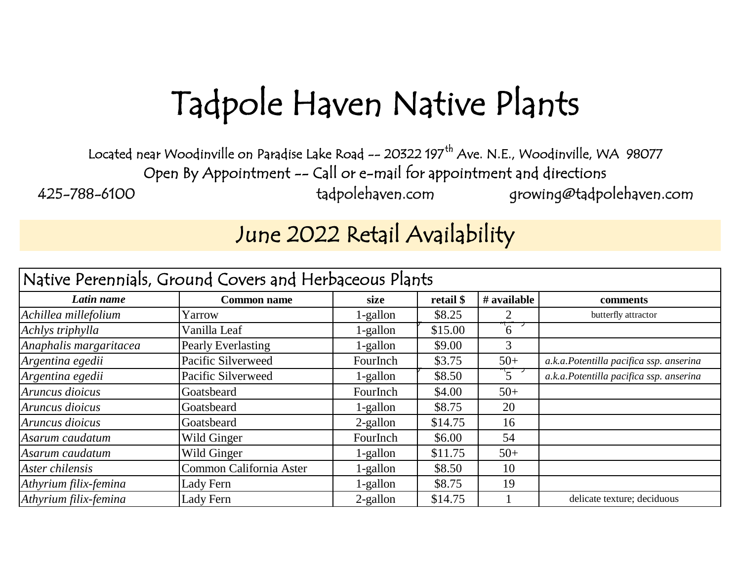## Tadpole Haven Native Plants

Located near Woodinville on Paradise Lake Road -- 20322 197<sup>th</sup> Ave. N.E., Woodinville, WA 98077 Open By Appointment -- Call or e-mail for appointment and directions 425-788-6100 tadpolehaven.com [g](mailto:growing@tadpolehaven.com)rowing@tadpolehaven.com

## June 2022 Retail Availability

| Native Perennials, Ground Covers and Herbaceous Plants |                         |             |           |                |                                         |  |  |
|--------------------------------------------------------|-------------------------|-------------|-----------|----------------|-----------------------------------------|--|--|
| Latin name                                             | <b>Common name</b>      | size        | retail \$ | # available    | comments                                |  |  |
| Achillea millefolium                                   | Yarrow                  | 1-gallon    | \$8.25    |                | butterfly attractor                     |  |  |
| Achlys triphylla                                       | Vanilla Leaf            | 1-gallon    | \$15.00   | $6^{\circ}$    |                                         |  |  |
| Anaphalis margaritacea                                 | Pearly Everlasting      | 1-gallon    | \$9.00    | 3              |                                         |  |  |
| Argentina egedii                                       | Pacific Silverweed      | FourInch    | \$3.75    | $50+$          | a.k.a.Potentilla pacifica ssp. anserina |  |  |
| Argentina egedii                                       | Pacific Silverweed      | 1-gallon    | \$8.50    | $\overline{5}$ | a.k.a.Potentilla pacifica ssp. anserina |  |  |
| Aruncus dioicus                                        | Goatsbeard              | FourInch    | \$4.00    | $50+$          |                                         |  |  |
| Aruncus dioicus                                        | Goatsbeard              | 1-gallon    | \$8.75    | 20             |                                         |  |  |
| Aruncus dioicus                                        | Goatsbeard              | $2$ -gallon | \$14.75   | 16             |                                         |  |  |
| Asarum caudatum                                        | Wild Ginger             | FourInch    | \$6.00    | 54             |                                         |  |  |
| Asarum caudatum                                        | Wild Ginger             | 1-gallon    | \$11.75   | $50+$          |                                         |  |  |
| Aster chilensis                                        | Common California Aster | 1-gallon    | \$8.50    | 10             |                                         |  |  |
| Athyrium filix-femina                                  | Lady Fern               | 1-gallon    | \$8.75    | 19             |                                         |  |  |
| Athyrium filix-femina                                  | Lady Fern               | 2-gallon    | \$14.75   |                | delicate texture; deciduous             |  |  |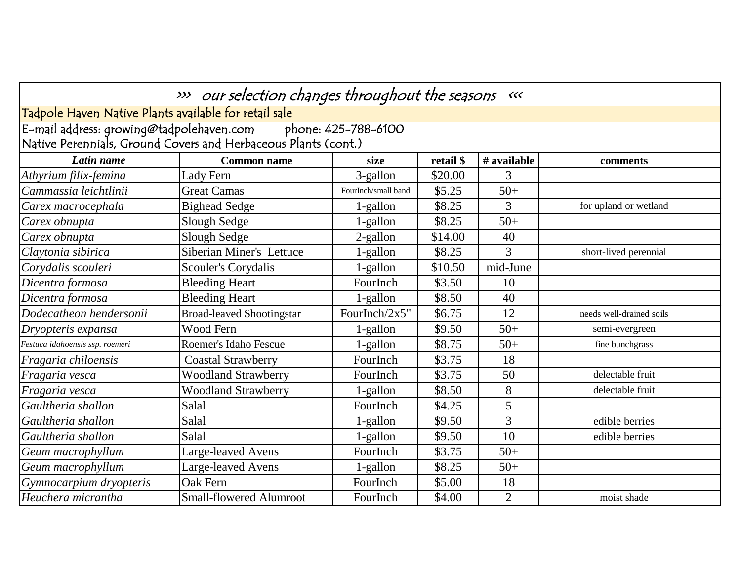|                                                       | >>> our selection changes throughout the seasons «<<           |                     |           |                |                          |
|-------------------------------------------------------|----------------------------------------------------------------|---------------------|-----------|----------------|--------------------------|
| Tadpole Haven Native Plants available for retail sale |                                                                |                     |           |                |                          |
| E-mail address: growing@tadpolehaven.com              | Native Perennials, Ground Covers and Herbaceous Plants (cont.) | phone: 425-788-6100 |           |                |                          |
| Latin name                                            | <b>Common name</b>                                             | size                | retail \$ | # available    | comments                 |
| Athyrium filix-femina                                 | Lady Fern                                                      | 3-gallon            | \$20.00   | 3              |                          |
| Cammassia leichtlinii                                 | <b>Great Camas</b>                                             | FourInch/small band | \$5.25    | $50+$          |                          |
| Carex macrocephala                                    | <b>Bighead Sedge</b>                                           | 1-gallon            | \$8.25    | 3              | for upland or wetland    |
| Carex obnupta                                         | Slough Sedge                                                   | 1-gallon            | \$8.25    | $50+$          |                          |
| Carex obnupta                                         | Slough Sedge                                                   | 2-gallon            | \$14.00   | 40             |                          |
| Claytonia sibirica                                    | Siberian Miner's Lettuce                                       | 1-gallon            | \$8.25    | 3              | short-lived perennial    |
| Corydalis scouleri                                    | <b>Scouler's Corydalis</b>                                     | 1-gallon            | \$10.50   | mid-June       |                          |
| Dicentra formosa                                      | <b>Bleeding Heart</b>                                          | FourInch            | \$3.50    | 10             |                          |
| Dicentra formosa                                      | <b>Bleeding Heart</b>                                          | 1-gallon            | \$8.50    | 40             |                          |
| Dodecatheon hendersonii                               | <b>Broad-leaved Shootingstar</b>                               | FourInch/ $2x5$ "   | \$6.75    | 12             | needs well-drained soils |
| Dryopteris expansa                                    | Wood Fern                                                      | 1-gallon            | \$9.50    | $50+$          | semi-evergreen           |
| Festuca idahoensis ssp. roemeri                       | Roemer's Idaho Fescue                                          | 1-gallon            | \$8.75    | $50+$          | fine bunchgrass          |
| Fragaria chiloensis                                   | <b>Coastal Strawberry</b>                                      | FourInch            | \$3.75    | 18             |                          |
| Fragaria vesca                                        | <b>Woodland Strawberry</b>                                     | FourInch            | \$3.75    | 50             | delectable fruit         |
| Fragaria vesca                                        | <b>Woodland Strawberry</b>                                     | 1-gallon            | \$8.50    | 8              | delectable fruit         |
| Gaultheria shallon                                    | Salal                                                          | FourInch            | \$4.25    | 5              |                          |
| Gaultheria shallon                                    | Salal                                                          | 1-gallon            | \$9.50    | $\overline{3}$ | edible berries           |
| Gaultheria shallon                                    | Salal                                                          | 1-gallon            | \$9.50    | 10             | edible berries           |
| Geum macrophyllum                                     | Large-leaved Avens                                             | FourInch            | \$3.75    | $50+$          |                          |
| Geum macrophyllum                                     | Large-leaved Avens                                             | 1-gallon            | \$8.25    | $50+$          |                          |
| Gymnocarpium dryopteris                               | Oak Fern                                                       | FourInch            | \$5.00    | 18             |                          |
| Heuchera micrantha                                    | <b>Small-flowered Alumroot</b>                                 | FourInch            | \$4.00    | $\overline{2}$ | moist shade              |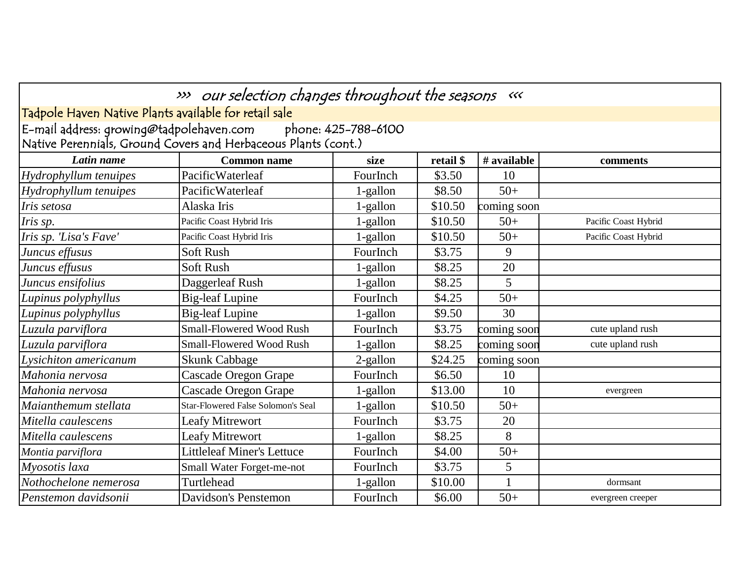|                                                                 | >>> our selection changes throughout the seasons «<< |             |           |             |                      |  |  |  |  |
|-----------------------------------------------------------------|------------------------------------------------------|-------------|-----------|-------------|----------------------|--|--|--|--|
|                                                                 |                                                      |             |           |             |                      |  |  |  |  |
| Tadpole Haven Native Plants available for retail sale           |                                                      |             |           |             |                      |  |  |  |  |
| E-mail address: growing@tadpolehaven.com<br>phone: 425-788-6100 |                                                      |             |           |             |                      |  |  |  |  |
| Native Perennials, Ground Covers and Herbaceous Plants (cont.)  |                                                      |             |           |             |                      |  |  |  |  |
| Latin name                                                      | <b>Common name</b>                                   | size        | retail \$ | # available | comments             |  |  |  |  |
| Hydrophyllum tenuipes                                           | PacificWaterleaf                                     | FourInch    | \$3.50    | 10          |                      |  |  |  |  |
| Hydrophyllum tenuipes                                           | PacificWaterleaf                                     | $1$ -gallon | \$8.50    | $50+$       |                      |  |  |  |  |
| Iris setosa                                                     | Alaska Iris                                          | 1-gallon    | \$10.50   | coming soon |                      |  |  |  |  |
| Iris sp.                                                        | Pacific Coast Hybrid Iris                            | 1-gallon    | \$10.50   | $50+$       | Pacific Coast Hybrid |  |  |  |  |
| Iris sp. 'Lisa's Fave'                                          | Pacific Coast Hybrid Iris                            | 1-gallon    | \$10.50   | $50+$       | Pacific Coast Hybrid |  |  |  |  |
| Juncus effusus                                                  | <b>Soft Rush</b>                                     | FourInch    | \$3.75    | 9           |                      |  |  |  |  |
| Juncus effusus                                                  | Soft Rush                                            | 1-gallon    | \$8.25    | 20          |                      |  |  |  |  |
| Juncus ensifolius                                               | Daggerleaf Rush                                      | 1-gallon    | \$8.25    | 5           |                      |  |  |  |  |
| Lupinus polyphyllus                                             | <b>Big-leaf Lupine</b>                               | FourInch    | \$4.25    | $50+$       |                      |  |  |  |  |
| Lupinus polyphyllus                                             | <b>Big-leaf Lupine</b>                               | 1-gallon    | \$9.50    | 30          |                      |  |  |  |  |
| Luzula parviflora                                               | <b>Small-Flowered Wood Rush</b>                      | FourInch    | \$3.75    | coming soon | cute upland rush     |  |  |  |  |
| Luzula parviflora                                               | <b>Small-Flowered Wood Rush</b>                      | 1-gallon    | \$8.25    | coming soon | cute upland rush     |  |  |  |  |
| Lysichiton americanum                                           | <b>Skunk Cabbage</b>                                 | 2-gallon    | \$24.25   | coming soon |                      |  |  |  |  |
| Mahonia nervosa                                                 | Cascade Oregon Grape                                 | FourInch    | \$6.50    | 10          |                      |  |  |  |  |
| Mahonia nervosa                                                 | <b>Cascade Oregon Grape</b>                          | 1-gallon    | \$13.00   | 10          | evergreen            |  |  |  |  |
| Maianthemum stellata                                            | Star-Flowered False Solomon's Seal                   | 1-gallon    | \$10.50   | $50+$       |                      |  |  |  |  |
| Mitella caulescens                                              | <b>Leafy Mitrewort</b>                               | FourInch    | \$3.75    | 20          |                      |  |  |  |  |
| Mitella caulescens                                              | <b>Leafy Mitrewort</b>                               | 1-gallon    | \$8.25    | 8           |                      |  |  |  |  |
| Montia parviflora                                               | <b>Littleleaf Miner's Lettuce</b>                    | FourInch    | \$4.00    | $50+$       |                      |  |  |  |  |
| Myosotis laxa                                                   | Small Water Forget-me-not                            | FourInch    | \$3.75    | 5           |                      |  |  |  |  |
| Nothochelone nemerosa                                           | Turtlehead                                           | 1-gallon    | \$10.00   | 1           | dormsant             |  |  |  |  |
| Penstemon davidsonii                                            | Davidson's Penstemon                                 | FourInch    | \$6.00    | $50+$       | evergreen creeper    |  |  |  |  |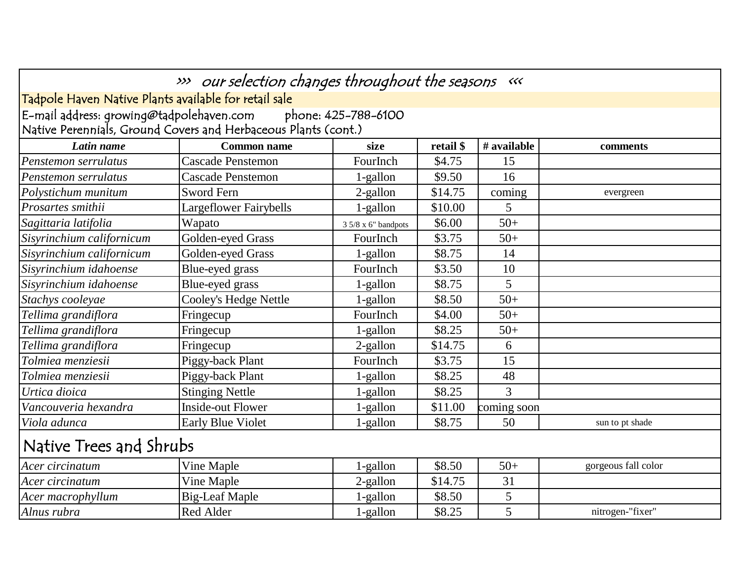|                                                       | >>> our selection changes throughout the seasons «<<           |                      |           |             |                     |
|-------------------------------------------------------|----------------------------------------------------------------|----------------------|-----------|-------------|---------------------|
| Tadpole Haven Native Plants available for retail sale |                                                                |                      |           |             |                     |
| E-mail address: growing@tadpolehaven.com              | Native Perennials, Ground Covers and Herbaceous Plants (cont.) | phone: 425-788-6100  |           |             |                     |
| Latin name                                            | <b>Common name</b>                                             | size                 | retail \$ | # available | comments            |
| Penstemon serrulatus                                  | <b>Cascade Penstemon</b>                                       | FourInch             | \$4.75    | 15          |                     |
| Penstemon serrulatus                                  | <b>Cascade Penstemon</b>                                       | 1-gallon             | \$9.50    | 16          |                     |
| Polystichum munitum                                   | <b>Sword Fern</b>                                              | 2-gallon             | \$14.75   | coming      | evergreen           |
| Prosartes smithii                                     | Largeflower Fairybells                                         | 1-gallon             | \$10.00   | 5           |                     |
| Sagittaria latifolia                                  | Wapato                                                         | $35/8 x 6"$ bandpots | \$6.00    | $50+$       |                     |
| Sisyrinchium californicum                             | Golden-eyed Grass                                              | FourInch             | \$3.75    | $50+$       |                     |
| Sisyrinchium californicum                             | Golden-eyed Grass                                              | 1-gallon             | \$8.75    | 14          |                     |
| Sisyrinchium idahoense                                | Blue-eyed grass                                                | FourInch             | \$3.50    | 10          |                     |
| Sisyrinchium idahoense                                | Blue-eyed grass                                                | 1-gallon             | \$8.75    | 5           |                     |
| Stachys cooleyae                                      | <b>Cooley's Hedge Nettle</b>                                   | 1-gallon             | \$8.50    | $50+$       |                     |
| Tellima grandiflora                                   | Fringecup                                                      | FourInch             | \$4.00    | $50+$       |                     |
| Tellima grandiflora                                   | Fringecup                                                      | 1-gallon             | \$8.25    | $50+$       |                     |
| Tellima grandiflora                                   | Fringecup                                                      | 2-gallon             | \$14.75   | 6           |                     |
| Tolmiea menziesii                                     | Piggy-back Plant                                               | FourInch             | \$3.75    | 15          |                     |
| Tolmiea menziesii                                     | Piggy-back Plant                                               | 1-gallon             | \$8.25    | 48          |                     |
| Urtica dioica                                         | <b>Stinging Nettle</b>                                         | $1$ -gallon          | \$8.25    | 3           |                     |
| Vancouveria hexandra                                  | <b>Inside-out Flower</b>                                       | 1-gallon             | \$11.00   | coming soon |                     |
| Viola adunca                                          | <b>Early Blue Violet</b>                                       | 1-gallon             | \$8.75    | 50          | sun to pt shade     |
| Native Trees and Shrubs                               |                                                                |                      |           |             |                     |
| Acer circinatum                                       | Vine Maple                                                     | 1-gallon             | \$8.50    | $50+$       | gorgeous fall color |
| Acer circinatum                                       | Vine Maple                                                     | 2-gallon             | \$14.75   | 31          |                     |
| Acer macrophyllum                                     | <b>Big-Leaf Maple</b>                                          | 1-gallon             | \$8.50    | 5           |                     |
| Alnus rubra                                           | <b>Red Alder</b>                                               | 1-gallon             | \$8.25    | 5           | nitrogen-"fixer"    |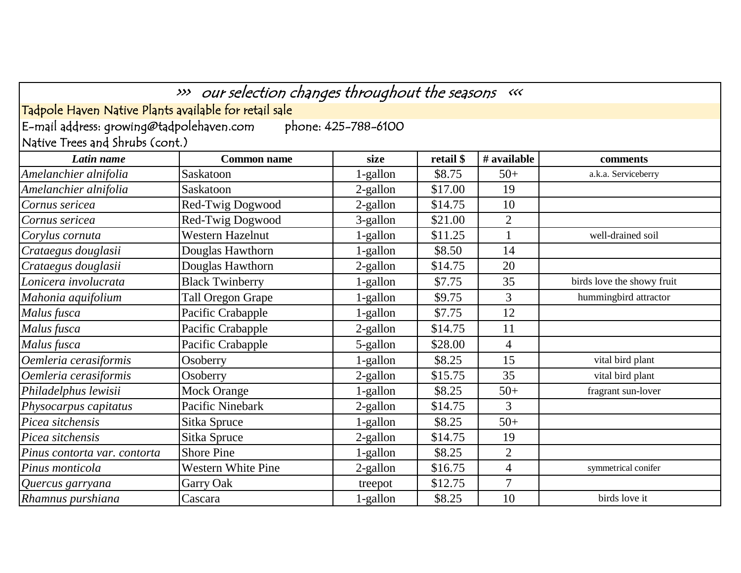| E-mail address: growing@tadpolehaven.com | Tadpole Haven Native Plants available for retail sale | phone: 425-788-6100 |           |                |                            |
|------------------------------------------|-------------------------------------------------------|---------------------|-----------|----------------|----------------------------|
| Native Trees and Shrubs (cont.)          |                                                       |                     |           |                |                            |
| Latin name                               | <b>Common name</b>                                    | size                | retail \$ | # available    | comments                   |
| Amelanchier alnifolia                    | Saskatoon                                             | 1-gallon            | \$8.75    | $50+$          | a.k.a. Serviceberry        |
| Amelanchier alnifolia                    | Saskatoon                                             | 2-gallon            | \$17.00   | 19             |                            |
| Cornus sericea                           | Red-Twig Dogwood                                      | 2-gallon            | \$14.75   | 10             |                            |
| Cornus sericea                           | Red-Twig Dogwood                                      | 3-gallon            | \$21.00   | $\overline{2}$ |                            |
| Corylus cornuta                          | Western Hazelnut                                      | 1-gallon            | \$11.25   | $\mathbf{1}$   | well-drained soil          |
| Crataegus douglasii                      | Douglas Hawthorn                                      | 1-gallon            | \$8.50    | 14             |                            |
| Crataegus douglasii                      | Douglas Hawthorn                                      | 2-gallon            | \$14.75   | 20             |                            |
| Lonicera involucrata                     | <b>Black Twinberry</b>                                | 1-gallon            | \$7.75    | 35             | birds love the showy fruit |
| Mahonia aquifolium                       | Tall Oregon Grape                                     | 1-gallon            | \$9.75    | $\overline{3}$ | hummingbird attractor      |
| Malus fusca                              | Pacific Crabapple                                     | 1-gallon            | \$7.75    | 12             |                            |
| Malus fusca                              | Pacific Crabapple                                     | 2-gallon            | \$14.75   | 11             |                            |
| Malus fusca                              | Pacific Crabapple                                     | 5-gallon            | \$28.00   | 4              |                            |
| Oemleria cerasiformis                    | Osoberry                                              | 1-gallon            | \$8.25    | 15             | vital bird plant           |
| Oemleria cerasiformis                    | Osoberry                                              | 2-gallon            | \$15.75   | 35             | vital bird plant           |
| Philadelphus lewisii                     | <b>Mock Orange</b>                                    | 1-gallon            | \$8.25    | $50+$          | fragrant sun-lover         |
| Physocarpus capitatus                    | Pacific Ninebark                                      | 2-gallon            | \$14.75   | $\overline{3}$ |                            |
| Picea sitchensis                         | Sitka Spruce                                          | 1-gallon            | \$8.25    | $50+$          |                            |
| Picea sitchensis                         | Sitka Spruce                                          | 2-gallon            | \$14.75   | 19             |                            |
| Pinus contorta var. contorta             | <b>Shore Pine</b>                                     | 1-gallon            | \$8.25    | $\overline{2}$ |                            |
| Pinus monticola                          | <b>Western White Pine</b>                             | 2-gallon            | \$16.75   | $\overline{4}$ | symmetrical conifer        |
| Quercus garryana                         | Garry Oak                                             | treepot             | \$12.75   | $\overline{7}$ |                            |
| Rhamnus purshiana                        | Cascara                                               | 1-gallon            | \$8.25    | 10             | birds love it              |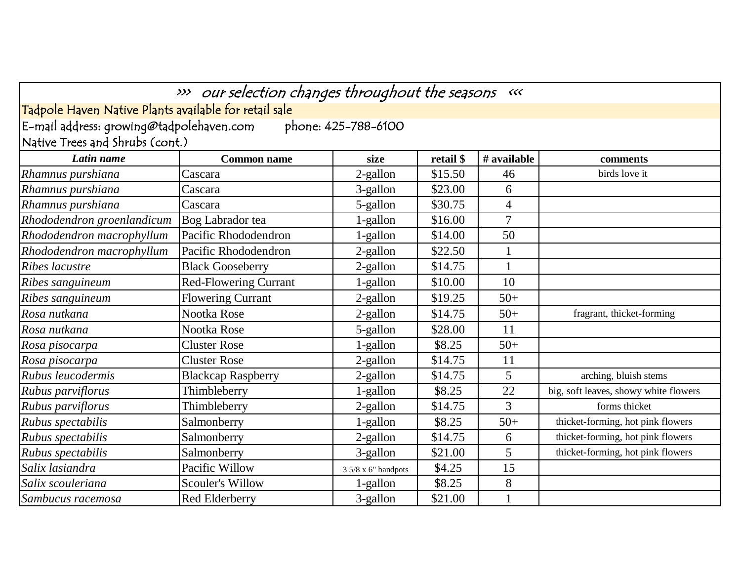| >>> our selection changes throughout the seasons <<<            |                              |                      |           |                |                                       |  |  |  |
|-----------------------------------------------------------------|------------------------------|----------------------|-----------|----------------|---------------------------------------|--|--|--|
| Tadpole Haven Native Plants available for retail sale           |                              |                      |           |                |                                       |  |  |  |
| E-mail address: growing@tadpolehaven.com<br>phone: 425-788-6100 |                              |                      |           |                |                                       |  |  |  |
| Native Trees and Shrubs (cont.)                                 |                              |                      |           |                |                                       |  |  |  |
| Latin name                                                      | <b>Common name</b>           | size                 | retail \$ | # available    | comments                              |  |  |  |
| Rhamnus purshiana                                               | Cascara                      | 2-gallon             | \$15.50   | 46             | birds love it                         |  |  |  |
| Rhamnus purshiana                                               | Cascara                      | 3-gallon             | \$23.00   | 6              |                                       |  |  |  |
| Rhamnus purshiana                                               | Cascara                      | 5-gallon             | \$30.75   | $\overline{4}$ |                                       |  |  |  |
| Rhododendron groenlandicum                                      | Bog Labrador tea             | 1-gallon             | \$16.00   | 7              |                                       |  |  |  |
| Rhododendron macrophyllum                                       | Pacific Rhododendron         | 1-gallon             | \$14.00   | 50             |                                       |  |  |  |
| Rhododendron macrophyllum                                       | Pacific Rhododendron         | 2-gallon             | \$22.50   | $\mathbf{1}$   |                                       |  |  |  |
| Ribes lacustre                                                  | <b>Black Gooseberry</b>      | 2-gallon             | \$14.75   |                |                                       |  |  |  |
| Ribes sanguineum                                                | <b>Red-Flowering Currant</b> | 1-gallon             | \$10.00   | 10             |                                       |  |  |  |
| Ribes sanguineum                                                | <b>Flowering Currant</b>     | 2-gallon             | \$19.25   | $50+$          |                                       |  |  |  |
| Rosa nutkana                                                    | Nootka Rose                  | 2-gallon             | \$14.75   | $50+$          | fragrant, thicket-forming             |  |  |  |
| Rosa nutkana                                                    | Nootka Rose                  | 5-gallon             | \$28.00   | 11             |                                       |  |  |  |
| Rosa pisocarpa                                                  | <b>Cluster Rose</b>          | 1-gallon             | \$8.25    | $50+$          |                                       |  |  |  |
| Rosa pisocarpa                                                  | <b>Cluster Rose</b>          | $2$ -gallon          | \$14.75   | 11             |                                       |  |  |  |
| Rubus leucodermis                                               | <b>Blackcap Raspberry</b>    | 2-gallon             | \$14.75   | 5              | arching, bluish stems                 |  |  |  |
| Rubus parviflorus                                               | Thimbleberry                 | 1-gallon             | \$8.25    | 22             | big, soft leaves, showy white flowers |  |  |  |
| Rubus parviflorus                                               | Thimbleberry                 | 2-gallon             | \$14.75   | $\overline{3}$ | forms thicket                         |  |  |  |
| Rubus spectabilis                                               | Salmonberry                  | 1-gallon             | \$8.25    | $50+$          | thicket-forming, hot pink flowers     |  |  |  |
| Rubus spectabilis                                               | Salmonberry                  | 2-gallon             | \$14.75   | 6              | thicket-forming, hot pink flowers     |  |  |  |
| Rubus spectabilis                                               | Salmonberry                  | 3-gallon             | \$21.00   | 5              | thicket-forming, hot pink flowers     |  |  |  |
| Salix lasiandra                                                 | Pacific Willow               | $35/8 x 6"$ bandpots | \$4.25    | 15             |                                       |  |  |  |
| Salix scouleriana                                               | <b>Scouler's Willow</b>      | 1-gallon             | \$8.25    | 8              |                                       |  |  |  |
| Sambucus racemosa                                               | Red Elderberry               | 3-gallon             | \$21.00   |                |                                       |  |  |  |